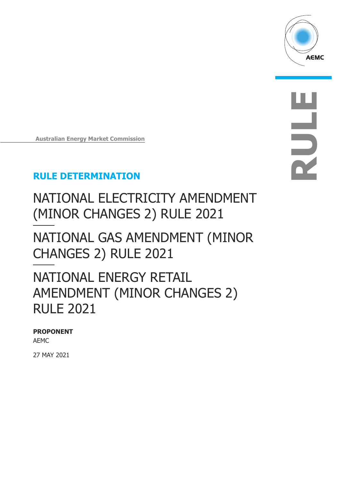

**RULE**

**Australian Energy Market Commission**

## **RULE DETERMINATION**

NATIONAL ELECTRICITY AMENDMENT (MINOR CHANGES 2) RULE 2021

NATIONAL GAS AMENDMENT (MINOR CHANGES 2) RULE 2021

# NATIONAL ENERGY RETAIL AMENDMENT (MINOR CHANGES 2) RULE 2021

### **PROPONENT**

AEMC

27 MAY 2021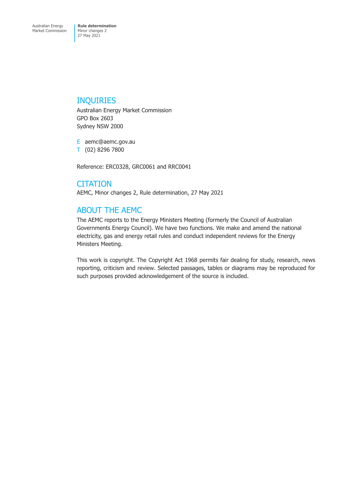## INQUIRIES

Australian Energy Market Commission GPO Box 2603 Sydney NSW 2000

E aemc@aemc.gov.au

T (02) 8296 7800

Reference: ERC0328, GRC0061 and RRC0041

## **CITATION**

AEMC, Minor changes 2, Rule determination, 27 May 2021

## ABOUT THE AEMC

The AEMC reports to the Energy Ministers Meeting (formerly the Council of Australian Governments Energy Council). We have two functions. We make and amend the national electricity, gas and energy retail rules and conduct independent reviews for the Energy Ministers Meeting.

This work is copyright. The Copyright Act 1968 permits fair dealing for study, research, news reporting, criticism and review. Selected passages, tables or diagrams may be reproduced for such purposes provided acknowledgement of the source is included.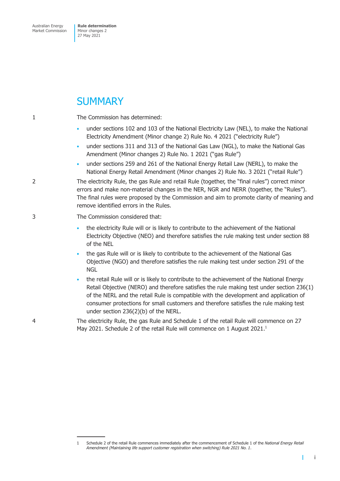## **SUMMARY**

1 The Commission has determined:

- under sections 102 and 103 of the National Electricity Law (NEL), to make the National Electricity Amendment (Minor change 2) Rule No. 4 2021 ("electricity Rule")
- under sections 311 and 313 of the National Gas Law (NGL), to make the National Gas Amendment (Minor changes 2) Rule No. 1 2021 ("gas Rule")
- under sections 259 and 261 of the National Energy Retail Law (NERL), to make the National Energy Retail Amendment (Minor changes 2) Rule No. 3 2021 ("retail Rule")

2 The electricity Rule, the gas Rule and retail Rule (together, the "final rules") correct minor errors and make non-material changes in the NER, NGR and NERR (together, the "Rules"). The final rules were proposed by the Commission and aim to promote clarity of meaning and remove identified errors in the Rules.

### 3 The Commission considered that:

- the electricity Rule will or is likely to contribute to the achievement of the National Electricity Objective (NEO) and therefore satisfies the rule making test under section 88 of the NEL
- the gas Rule will or is likely to contribute to the achievement of the National Gas Objective (NGO) and therefore satisfies the rule making test under section 291 of the **NGL**
- the retail Rule will or is likely to contribute to the achievement of the National Energy Retail Objective (NERO) and therefore satisfies the rule making test under section 236(1) of the NERL and the retail Rule is compatible with the development and application of consumer protections for small customers and therefore satisfies the rule making test under section 236(2)(b) of the NERL.
- 4 The electricity Rule, the gas Rule and Schedule 1 of the retail Rule will commence on 27 May 2021. Schedule 2 of the retail Rule will commence on 1 August 2021.<sup>1</sup>

T

<sup>1</sup> Schedule 2 of the retail Rule commences immediately after the commencement of Schedule 1 of the *National Energy Retail Amendment (Maintaining life support customer registration when switching) Rule 2021 No. 1*.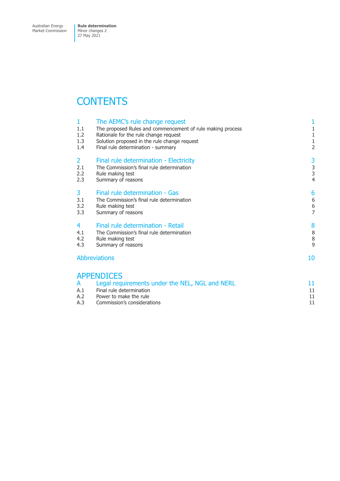# **CONTENTS**

| 1<br>1.1<br>1.2<br>1.3<br>1.4 | The AEMC's rule change request<br>The proposed Rules and commencement of rule making process<br>Rationale for the rule change request<br>Solution proposed in the rule change request<br>Final rule determination - summary | 1<br>$\mathbf{1}$<br>$\mathbf 1$<br>$\mathbf 1$<br>$\overline{2}$ |
|-------------------------------|-----------------------------------------------------------------------------------------------------------------------------------------------------------------------------------------------------------------------------|-------------------------------------------------------------------|
| 2<br>2.1<br>2.2<br>2.3        | Final rule determination - Electricity<br>The Commission's final rule determination<br>Rule making test<br>Summary of reasons                                                                                               | 3<br>$\frac{3}{3}$<br>$\overline{4}$                              |
| 3<br>3.1<br>3.2<br>3.3        | Final rule determination - Gas<br>The Commission's final rule determination<br>Rule making test<br>Summary of reasons                                                                                                       | 6<br>6<br>$\,$ 6 $\,$<br>$\overline{7}$                           |
| 4<br>4.1<br>4.2<br>4.3        | Final rule determination - Retail<br>The Commission's final rule determination<br>Rule making test<br>Summary of reasons                                                                                                    | 8<br>$\,8\,$<br>$\, 8$<br>9                                       |
| <b>Abbreviations</b>          |                                                                                                                                                                                                                             | 10                                                                |
|                               | <b>APPENDICES</b>                                                                                                                                                                                                           |                                                                   |
| A                             | Legal requirements under the NEL, NGL and NERL                                                                                                                                                                              | 11                                                                |
| A.1<br>A.2                    | Final rule determination<br>Power to make the rule                                                                                                                                                                          | 11<br>11                                                          |
| A.3                           | Commission's considerations                                                                                                                                                                                                 | 11                                                                |
|                               |                                                                                                                                                                                                                             |                                                                   |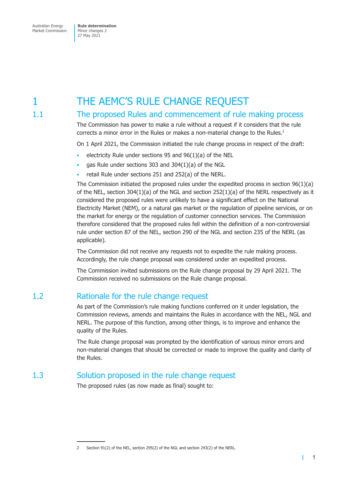# <span id="page-4-0"></span>1 THE AEMC'S RULE CHANGE REQUEST

## 1.1 The proposed Rules and commencement of rule making process

The Commission has power to make a rule without a request if it considers that the rule corrects a minor error in the Rules or makes a non-material change to the Rules.<sup>2</sup>

On 1 April 2021, the Commission initiated the rule change process in respect of the draft:

- electricity Rule under sections 95 and  $96(1)(a)$  of the NEL
- gas Rule under sections 303 and 304(1)(a) of the NGL
- retail Rule under sections 251 and 252(a) of the NERL.

The Commission initiated the proposed rules under the expedited process in section 96(1)(a) of the NEL, section 304(1)(a) of the NGL and section 252(1)(a) of the NERL respectively as it considered the proposed rules were unlikely to have a significant effect on the National Electricity Market (NEM), or a natural gas market or the regulation of pipeline services, or on the market for energy or the regulation of customer connection services. The Commission therefore considered that the proposed rules fell within the definition of a non-controversial rule under section 87 of the NEL, section 290 of the NGL and section 235 of the NERL (as applicable).

The Commission did not receive any requests not to expedite the rule making process. Accordingly, the rule change proposal was considered under an expedited process.

The Commission invited submissions on the Rule change proposal by 29 April 2021. The Commission received no submissions on the Rule change proposal.

## 1.2 Rationale for the rule change request

As part of the Commission's rule making functions conferred on it under legislation, the Commission reviews, amends and maintains the Rules in accordance with the NEL, NGL and NERL. The purpose of this function, among other things, is to improve and enhance the quality of the Rules.

The Rule change proposal was prompted by the identification of various minor errors and non-material changes that should be corrected or made to improve the quality and clarity of the Rules.

## 1.3 Solution proposed in the rule change request

The proposed rules (as now made as final) sought to:

т

<sup>2</sup> Section 91(2) of the NEL, section 295(2) of the NGL and section 243(2) of the NERL.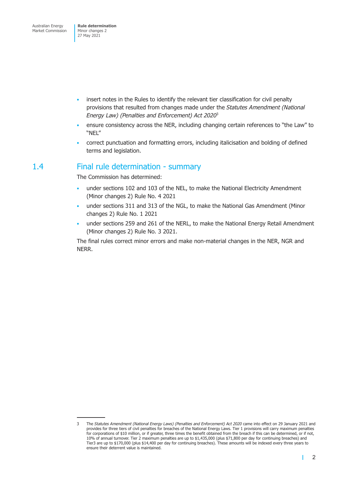- <span id="page-5-0"></span>• insert notes in the Rules to identify the relevant tier classification for civil penalty provisions that resulted from changes made under the *Statutes Amendment (National Energy Law) (Penalties and Enforcement) Act 2020*<sup>3</sup>
- ensure consistency across the NER, including changing certain references to "the Law" to "NEL"
- correct punctuation and formatting errors, including italicisation and bolding of defined terms and legislation.

## 1.4 Final rule determination - summary

The Commission has determined:

- under sections 102 and 103 of the NEL, to make the National Electricity Amendment (Minor changes 2) Rule No. 4 2021
- under sections 311 and 313 of the NGL, to make the National Gas Amendment (Minor changes 2) Rule No. 1 2021
- under sections 259 and 261 of the NERL, to make the National Energy Retail Amendment (Minor changes 2) Rule No. 3 2021.

The final rules correct minor errors and make non-material changes in the NER, NGR and NERR.

п

<sup>3</sup> The *Statutes Amendment (National Energy Laws) (Penalties and Enforcement) Act 2020* came into effect on 29 January 2021 and provides for three tiers of civil penalties for breaches of the National Energy Laws. Tier 1 provisions will carry maximum penalties for corporations of \$10 million, or if greater, three times the benefit obtained from the breach if this can be determined, or if not, 10% of annual turnover. Tier 2 maximum penalties are up to \$1,435,000 (plus \$71,800 per day for continuing breaches) and Tier3 are up to \$170,000 (plus \$14,400 per day for continuing breaches). These amounts will be indexed every three years to ensure their deterrent value is maintained.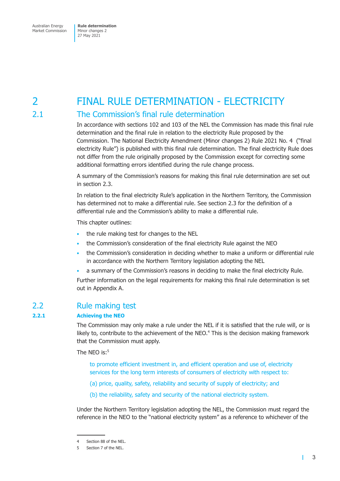# <span id="page-6-0"></span>2 FINAL RULE DETERMINATION - ELECTRICITY

## 2.1 The Commission's final rule determination

In accordance with sections 102 and 103 of the NEL the Commission has made this final rule determination and the final rule in relation to the electricity Rule proposed by the Commission. The National Electricity Amendment (Minor changes 2) Rule 2021 No. 4 ("final electricity Rule") is published with this final rule determination. The final electricity Rule does not differ from the rule originally proposed by the Commission except for correcting some additional formatting errors identified during the rule change process.

A summary of the Commission's reasons for making this final rule determination are set out in section 2.3.

In relation to the final electricity Rule's application in the Northern Territory, the Commission has determined not to make a differential rule. See section 2.3 for the definition of a differential rule and the Commission's ability to make a differential rule.

This chapter outlines:

- the rule making test for changes to the NEL
- the Commission's consideration of the final electricity Rule against the NEO
- the Commission's consideration in deciding whether to make a uniform or differential rule in accordance with the Northern Territory legislation adopting the NEL
- a summary of the Commission's reasons in deciding to make the final electricity Rule.

Further information on the legal requirements for making this final rule determination is set out in Appendix A.

## 2.2 Rule making test

### **2.2.1 Achieving the NEO**

The Commission may only make a rule under the NEL if it is satisfied that the rule will, or is likely to, contribute to the achievement of the NEO.<sup>4</sup> This is the decision making framework that the Commission must apply.

The NEO is:<sup>5</sup>

to promote efficient investment in, and efficient operation and use of, electricity services for the long term interests of consumers of electricity with respect to:

- (a) price, quality, safety, reliability and security of supply of electricity; and
- (b) the reliability, safety and security of the national electricity system.

Under the Northern Territory legislation adopting the NEL, the Commission must regard the reference in the NEO to the "national electricity system" as a reference to whichever of the

т

<sup>4</sup> Section 88 of the NEL.

<sup>5</sup> Section 7 of the NEL.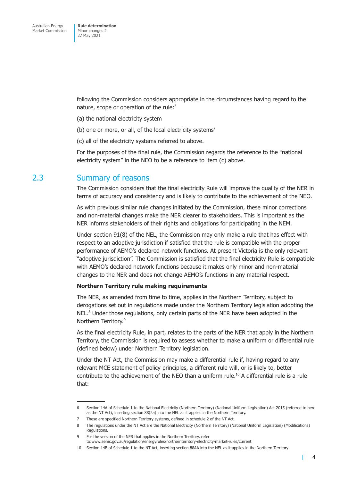<span id="page-7-0"></span>following the Commission considers appropriate in the circumstances having regard to the nature, scope or operation of the rule:<sup>6</sup>

- (a) the national electricity system
- (b) one or more, or all, of the local electricity systems<sup>7</sup>
- (c) all of the electricity systems referred to above.

For the purposes of the final rule, the Commission regards the reference to the "national electricity system" in the NEO to be a reference to item (c) above.

### 2.3 Summary of reasons

The Commission considers that the final electricity Rule will improve the quality of the NER in terms of accuracy and consistency and is likely to contribute to the achievement of the NEO.

As with previous similar rule changes initiated by the Commission, these minor corrections and non-material changes make the NER clearer to stakeholders. This is important as the NER informs stakeholders of their rights and obligations for participating in the NEM.

Under section 91(8) of the NEL, the Commission may only make a rule that has effect with respect to an adoptive jurisdiction if satisfied that the rule is compatible with the proper performance of AEMO's declared network functions. At present Victoria is the only relevant "adoptive jurisdiction". The Commission is satisfied that the final electricity Rule is compatible with AEMO's declared network functions because it makes only minor and non-material changes to the NER and does not change AEMO's functions in any material respect.

### **Northern Territory rule making requirements**

The NER, as amended from time to time, applies in the Northern Territory, subject to derogations set out in regulations made under the Northern Territory legislation adopting the NEL.<sup>8</sup> Under those regulations, only certain parts of the NER have been adopted in the Northern Territory.<sup>9</sup>

As the final electricity Rule, in part, relates to the parts of the NER that apply in the Northern Territory, the Commission is required to assess whether to make a uniform or differential rule (defined below) under Northern Territory legislation.

Under the NT Act, the Commission may make a differential rule if, having regard to any relevant MCE statement of policy principles, a different rule will, or is likely to, better contribute to the achievement of the NEO than a uniform rule.10 A differential rule is a rule that:

 $\mathbf{I}$ 

<sup>6</sup> Section 14A of Schedule 1 to the National Electricity (Northern Territory) (National Uniform Legislation) Act 2015 (referred to here as the NT Act), inserting section 88(2a) into the NEL as it applies in the Northern Territory.

<sup>7</sup> These are specified Northern Territory systems, defined in schedule 2 of the NT Act.

<sup>8</sup> The regulations under the NT Act are the National Electricity (Northern Territory) (National Uniform Legislation) (Modifications) Regulations.

<sup>9</sup> For the version of the NER that applies in the Northern Territory, refer to:www.aemc.gov.au/regulation/energyrules/northernterritory-electricity-market-rules/current

<sup>10</sup> Section 14B of Schedule 1 to the NT Act, inserting section 88AA into the NEL as it applies in the Northern Territory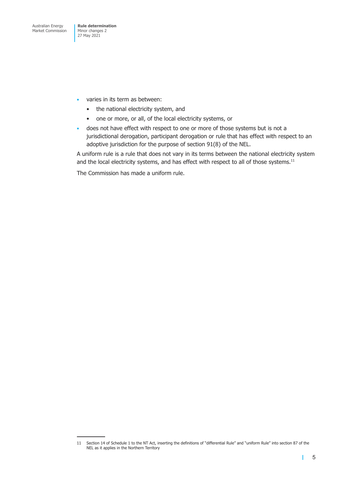- varies in its term as between:
	- the national electricity system, and
	- one or more, or all, of the local electricity systems, or
- does not have effect with respect to one or more of those systems but is not a jurisdictional derogation, participant derogation or rule that has effect with respect to an adoptive jurisdiction for the purpose of section 91(8) of the NEL.

A uniform rule is a rule that does not vary in its terms between the national electricity system and the local electricity systems, and has effect with respect to all of those systems.<sup>11</sup>

The Commission has made a uniform rule.

<sup>11</sup> Section 14 of Schedule 1 to the NT Act, inserting the definitions of "differential Rule" and "uniform Rule" into section 87 of the NEL as it applies in the Northern Territory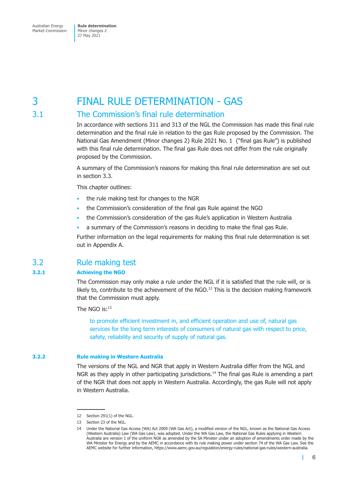# <span id="page-9-0"></span>3 FINAL RULE DETERMINATION - GAS

## 3.1 The Commission's final rule determination

In accordance with sections 311 and 313 of the NGL the Commission has made this final rule determination and the final rule in relation to the gas Rule proposed by the Commission. The National Gas Amendment (Minor changes 2) Rule 2021 No. 1 ("final gas Rule") is published with this final rule determination. The final gas Rule does not differ from the rule originally proposed by the Commission.

A summary of the Commission's reasons for making this final rule determination are set out in section 3.3.

This chapter outlines:

- the rule making test for changes to the NGR
- the Commission's consideration of the final gas Rule against the NGO
- the Commission's consideration of the gas Rule's application in Western Australia
- a summary of the Commission's reasons in deciding to make the final gas Rule.

Further information on the legal requirements for making this final rule determination is set out in Appendix A.

## 3.2 Rule making test

### **3.2.1 Achieving the NGO**

The Commission may only make a rule under the NGL if it is satisfied that the rule will, or is likely to, contribute to the achievement of the NGO.<sup>12</sup> This is the decision making framework that the Commission must apply.

The NGO is:13

to promote efficient investment in, and efficient operation and use of, natural gas services for the long term interests of consumers of natural gas with respect to price, safety, reliability and security of supply of natural gas.

### **3.2.2 Rule making in Western Australia**

The versions of the NGL and NGR that apply in Western Australia differ from the NGL and NGR as they apply in other participating jurisdictions.<sup>14</sup> The final gas Rule is amending a part of the NGR that does not apply in Western Australia. Accordingly, the gas Rule will not apply in Western Australia.

Ш

<sup>12</sup> Section 291(1) of the NGL.

<sup>13</sup> Section 23 of the NGL.

<sup>14</sup> Under the National Gas Access (WA) Act 2009 (WA Gas Act), a modified version of the NGL, known as the National Gas Access (Western Australia) Law (WA Gas Law), was adopted. Under the WA Gas Law, the National Gas Rules applying in Western Australia are version 1 of the uniform NGR as amended by the SA Minister under an adoption of amendments order made by the WA Minister for Energy and by the AEMC in accordance with its rule making power under section 74 of the WA Gas Law. See the AEMC website for further information, https://www.aemc.gov.au/regulation/energy-rules/national-gas-rules/western-australia.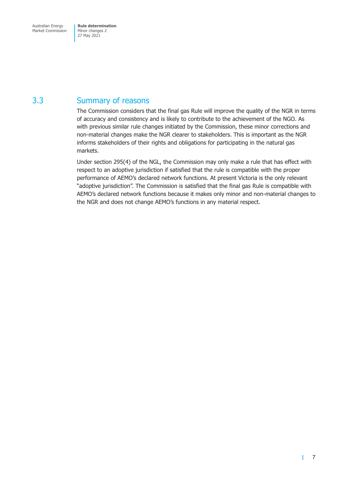## <span id="page-10-0"></span>3.3 Summary of reasons

The Commission considers that the final gas Rule will improve the quality of the NGR in terms of accuracy and consistency and is likely to contribute to the achievement of the NGO. As with previous similar rule changes initiated by the Commission, these minor corrections and non-material changes make the NGR clearer to stakeholders. This is important as the NGR informs stakeholders of their rights and obligations for participating in the natural gas markets.

Under section 295(4) of the NGL, the Commission may only make a rule that has effect with respect to an adoptive jurisdiction if satisfied that the rule is compatible with the proper performance of AEMO's declared network functions. At present Victoria is the only relevant "adoptive jurisdiction". The Commission is satisfied that the final gas Rule is compatible with AEMO's declared network functions because it makes only minor and non-material changes to the NGR and does not change AEMO's functions in any material respect.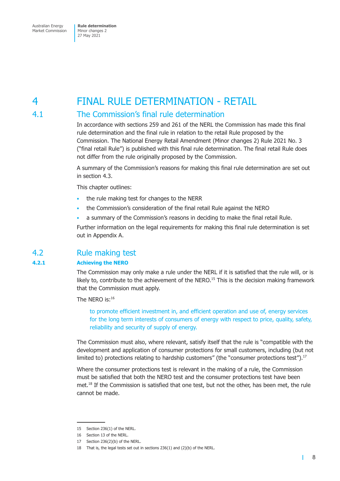# <span id="page-11-0"></span>4 FINAL RULE DETERMINATION - RETAIL

## 4.1 The Commission's final rule determination

In accordance with sections 259 and 261 of the NERL the Commission has made this final rule determination and the final rule in relation to the retail Rule proposed by the Commission. The National Energy Retail Amendment (Minor changes 2) Rule 2021 No. 3 ("final retail Rule") is published with this final rule determination. The final retail Rule does not differ from the rule originally proposed by the Commission.

A summary of the Commission's reasons for making this final rule determination are set out in section 4.3.

This chapter outlines:

- the rule making test for changes to the NERR
- the Commission's consideration of the final retail Rule against the NERO
- a summary of the Commission's reasons in deciding to make the final retail Rule.

Further information on the legal requirements for making this final rule determination is set out in Appendix A.

## 4.2 Rule making test

### **4.2.1 Achieving the NERO**

The Commission may only make a rule under the NERL if it is satisfied that the rule will, or is likely to, contribute to the achievement of the NERO.<sup>15</sup> This is the decision making framework that the Commission must apply.

The NFRO is:16

to promote efficient investment in, and efficient operation and use of, energy services for the long term interests of consumers of energy with respect to price, quality, safety, reliability and security of supply of energy.

The Commission must also, where relevant, satisfy itself that the rule is "compatible with the development and application of consumer protections for small customers, including (but not limited to) protections relating to hardship customers" (the "consumer protections test"). $17$ 

Where the consumer protections test is relevant in the making of a rule, the Commission must be satisfied that both the NERO test and the consumer protections test have been met.<sup>18</sup> If the Commission is satisfied that one test, but not the other, has been met, the rule cannot be made.

 $\mathbf{I}$ 

<sup>15</sup> Section 236(1) of the NERL.

<sup>16</sup> Section 13 of the NERL.

<sup>17</sup> Section 236(2)(b) of the NERL.

<sup>18</sup> That is, the legal tests set out in sections 236(1) and (2)(b) of the NERL.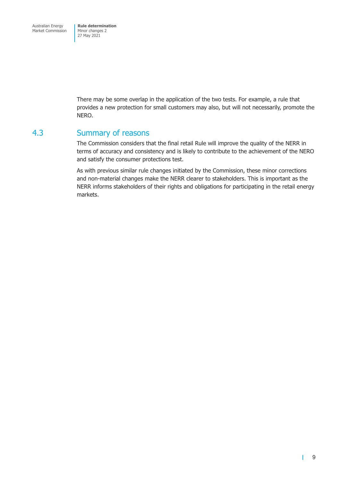<span id="page-12-0"></span>There may be some overlap in the application of the two tests. For example, a rule that provides a new protection for small customers may also, but will not necessarily, promote the NERO.

## 4.3 Summary of reasons

The Commission considers that the final retail Rule will improve the quality of the NERR in terms of accuracy and consistency and is likely to contribute to the achievement of the NERO and satisfy the consumer protections test.

As with previous similar rule changes initiated by the Commission, these minor corrections and non-material changes make the NERR clearer to stakeholders. This is important as the NERR informs stakeholders of their rights and obligations for participating in the retail energy markets.

Т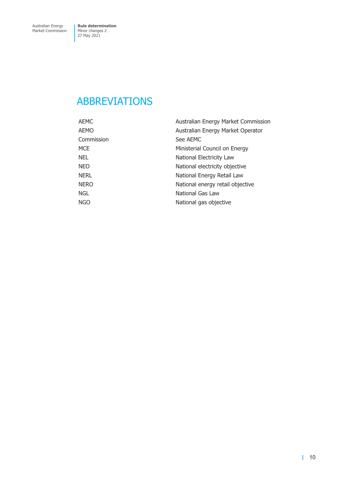# <span id="page-13-0"></span>ABBREVIATIONS

| AEMC        | Australian Energy Market Commission |
|-------------|-------------------------------------|
| AEMO        | Australian Energy Market Operator   |
| Commission  | See AEMC                            |
| MCE.        | Ministerial Council on Energy       |
| NEL         | National Electricity Law            |
| NEO         | National electricity objective      |
| NERL        | National Energy Retail Law          |
| <b>NERO</b> | National energy retail objective    |
| <b>NGL</b>  | National Gas Law                    |
| NGO         | National gas objective              |
|             |                                     |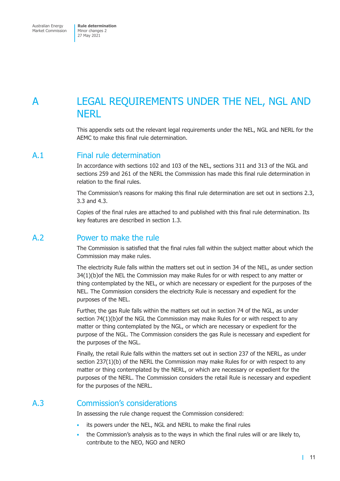# <span id="page-14-0"></span>A LEGAL REQUIREMENTS UNDER THE NEL, NGL AND **NFRI**

This appendix sets out the relevant legal requirements under the NEL, NGL and NERL for the AEMC to make this final rule determination.

## A.1 Final rule determination

In accordance with sections 102 and 103 of the NEL, sections 311 and 313 of the NGL and sections 259 and 261 of the NERL the Commission has made this final rule determination in relation to the final rules.

The Commission's reasons for making this final rule determination are set out in sections 2.3, 3.3 and 4.3.

Copies of the final rules are attached to and published with this final rule determination. Its key features are described in section 1.3.

## A.2 Power to make the rule

The Commission is satisfied that the final rules fall within the subject matter about which the Commission may make rules.

The electricity Rule falls within the matters set out in section 34 of the NEL, as under section 34(1)(b)of the NEL the Commission may make Rules for or with respect to any matter or thing contemplated by the NEL, or which are necessary or expedient for the purposes of the NEL. The Commission considers the electricity Rule is necessary and expedient for the purposes of the NEL.

Further, the gas Rule falls within the matters set out in section 74 of the NGL, as under section 74(1)(b)of the NGL the Commission may make Rules for or with respect to any matter or thing contemplated by the NGL, or which are necessary or expedient for the purpose of the NGL. The Commission considers the gas Rule is necessary and expedient for the purposes of the NGL.

Finally, the retail Rule falls within the matters set out in section 237 of the NERL, as under section 237(1)(b) of the NERL the Commission may make Rules for or with respect to any matter or thing contemplated by the NERL, or which are necessary or expedient for the purposes of the NERL. The Commission considers the retail Rule is necessary and expedient for the purposes of the NERL.

## A.3 Commission's considerations

In assessing the rule change request the Commission considered:

- its powers under the NEL, NGL and NERL to make the final rules
- the Commission's analysis as to the ways in which the final rules will or are likely to, contribute to the NEO, NGO and NERO